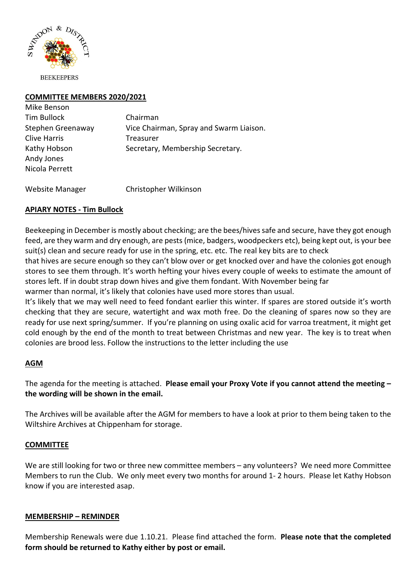

## **COMMITTEE MEMBERS 2020/2021**

| Mike Benson         |                                         |
|---------------------|-----------------------------------------|
| <b>Tim Bullock</b>  | Chairman                                |
| Stephen Greenaway   | Vice Chairman, Spray and Swarm Liaison. |
| <b>Clive Harris</b> | Treasurer                               |
| Kathy Hobson        | Secretary, Membership Secretary.        |
| Andy Jones          |                                         |
| Nicola Perrett      |                                         |
|                     |                                         |

Website Manager Christopher Wilkinson

## **APIARY NOTES - Tim Bullock**

Beekeeping in December is mostly about checking; are the bees/hives safe and secure, have they got enough feed, are they warm and dry enough, are pests (mice, badgers, woodpeckers etc), being kept out, is your bee suit(s) clean and secure ready for use in the spring, etc. etc. The real key bits are to check

that hives are secure enough so they can't blow over or get knocked over and have the colonies got enough stores to see them through. It's worth hefting your hives every couple of weeks to estimate the amount of stores left. If in doubt strap down hives and give them fondant. With November being far warmer than normal, it's likely that colonies have used more stores than usual.

It's likely that we may well need to feed fondant earlier this winter. If spares are stored outside it's worth checking that they are secure, watertight and wax moth free. Do the cleaning of spares now so they are ready for use next spring/summer. If you're planning on using oxalic acid for varroa treatment, it might get

cold enough by the end of the month to treat between Christmas and new year. The key is to treat when colonies are brood less. Follow the instructions to the letter including the use

# **AGM**

The agenda for the meeting is attached. **Please email your Proxy Vote if you cannot attend the meeting – the wording will be shown in the email.** 

The Archives will be available after the AGM for members to have a look at prior to them being taken to the Wiltshire Archives at Chippenham for storage.

#### **COMMITTEE**

We are still looking for two or three new committee members – any volunteers? We need more Committee Members to run the Club. We only meet every two months for around 1- 2 hours. Please let Kathy Hobson know if you are interested asap.

#### **MEMBERSHIP – REMINDER**

Membership Renewals were due 1.10.21. Please find attached the form. **Please note that the completed form should be returned to Kathy either by post or email.**